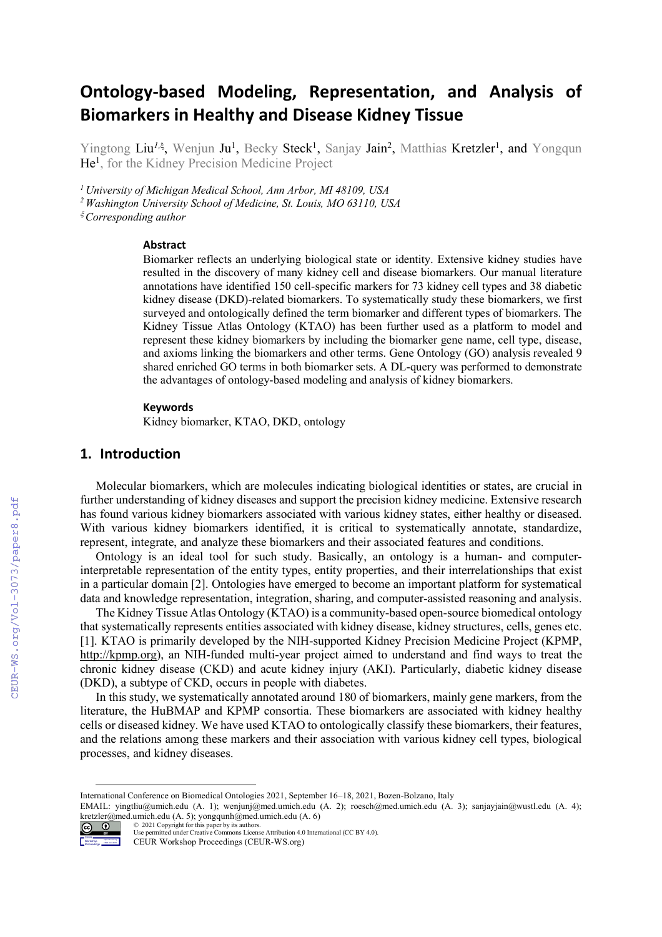# **Ontology-based Modeling, Representation, and Analysis of Biomarkers in Healthy and Disease Kidney Tissue**

Yingtong Liu<sup>1, g</sup>, Wenjun Ju<sup>1</sup>, Becky Steck<sup>1</sup>, Sanjay Jain<sup>2</sup>, Matthias Kretzler<sup>1</sup>, and Yongqun He<sup>1</sup>, for the Kidney Precision Medicine Project

*<sup>1</sup> University of Michigan Medical School, Ann Arbor, MI 48109, USA*

*2 Washington University School of Medicine, St. Louis, MO 63110, USA*

<sup>x</sup> *Corresponding author*

#### **Abstract**

Biomarker reflects an underlying biological state or identity. Extensive kidney studies have resulted in the discovery of many kidney cell and disease biomarkers. Our manual literature annotations have identified 150 cell-specific markers for 73 kidney cell types and 38 diabetic kidney disease (DKD)-related biomarkers. To systematically study these biomarkers, we first surveyed and ontologically defined the term biomarker and different types of biomarkers. The Kidney Tissue Atlas Ontology (KTAO) has been further used as a platform to model and represent these kidney biomarkers by including the biomarker gene name, cell type, disease, and axioms linking the biomarkers and other terms. Gene Ontology (GO) analysis revealed 9 shared enriched GO terms in both biomarker sets. A DL-query was performed to demonstrate the advantages of ontology-based modeling and analysis of kidney biomarkers.

#### **Keywords**

Kidney biomarker, KTAO, DKD, ontology

### **1. Introduction**

Molecular biomarkers, which are molecules indicating biological identities or states, are crucial in further understanding of kidney diseases and support the precision kidney medicine. Extensive research has found various kidney biomarkers associated with various kidney states, either healthy or diseased. With various kidney biomarkers identified, it is critical to systematically annotate, standardize, represent, integrate, and analyze these biomarkers and their associated features and conditions.

Ontology is an ideal tool for such study. Basically, an ontology is a human- and computerinterpretable representation of the entity types, entity properties, and their interrelationships that exist in a particular domain [2]. Ontologies have emerged to become an important platform for systematical data and knowledge representation, integration, sharing, and computer-assisted reasoning and analysis.

The Kidney Tissue Atlas Ontology (KTAO) is a community-based open-source biomedical ontology that systematically represents entities associated with kidney disease, kidney structures, cells, genes etc. [1]. KTAO is primarily developed by the NIH-supported Kidney Precision Medicine Project (KPMP, http://kpmp.org), an NIH-funded multi-year project aimed to understand and find ways to treat the chronic kidney disease (CKD) and acute kidney injury (AKI). Particularly, diabetic kidney disease (DKD), a subtype of CKD, occurs in people with diabetes.

In this study, we systematically annotated around 180 of biomarkers, mainly gene markers, from the literature, the HuBMAP and KPMP consortia. These biomarkers are associated with kidney healthy cells or diseased kidney. We have used KTAO to ontologically classify these biomarkers, their features, and the relations among these markers and their association with various kidney cell types, biological processes, and kidney diseases.

EMAIL: yingtliu@umich.edu (A. 1); wenjunj@med.umich.edu (A. 2); roesch@med.umich.edu (A. 3); sanjayjain@wustl.edu (A. 4); kretzler@med.umich.edu (A. 5); yongqunh@med.umich.edu (A. 6)



<sup>©</sup> 2021 Copyright for this paper by its authors. Use permitted under Creative Commons License Attribution 4.0 International (CC BY 4.0).

CEUR Workshop Proceedings (CEUR-WS.org)

International Conference on Biomedical Ontologies 2021, September 16–18, 2021, Bozen-Bolzano, Italy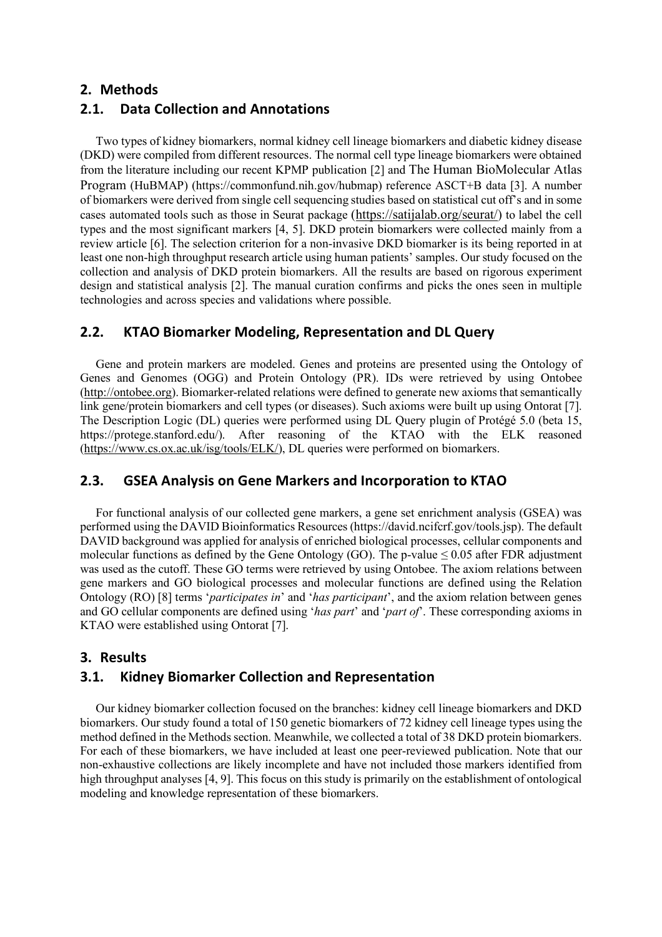### **2. Methods**

# **2.1. Data Collection and Annotations**

Two types of kidney biomarkers, normal kidney cell lineage biomarkers and diabetic kidney disease (DKD) were compiled from different resources. The normal cell type lineage biomarkers were obtained from the literature including our recent KPMP publication [2] and The Human BioMolecular Atlas Program (HuBMAP) (https://commonfund.nih.gov/hubmap) reference ASCT+B data [3]. A number of biomarkers were derived from single cell sequencing studies based on statistical cut off's and in some cases automated tools such as those in Seurat package (https://satijalab.org/seurat/) to label the cell types and the most significant markers [4, 5]. DKD protein biomarkers were collected mainly from a review article [6]. The selection criterion for a non-invasive DKD biomarker is its being reported in at least one non-high throughput research article using human patients' samples. Our study focused on the collection and analysis of DKD protein biomarkers. All the results are based on rigorous experiment design and statistical analysis [2]. The manual curation confirms and picks the ones seen in multiple technologies and across species and validations where possible.

# **2.2. KTAO Biomarker Modeling, Representation and DL Query**

Gene and protein markers are modeled. Genes and proteins are presented using the Ontology of Genes and Genomes (OGG) and Protein Ontology (PR). IDs were retrieved by using Ontobee (http://ontobee.org). Biomarker-related relations were defined to generate new axioms that semantically link gene/protein biomarkers and cell types (or diseases). Such axioms were built up using Ontorat [7]. The Description Logic (DL) queries were performed using DL Query plugin of Protégé 5.0 (beta 15, https://protege.stanford.edu/). After reasoning of the KTAO with the ELK reasoned (https://www.cs.ox.ac.uk/isg/tools/ELK/), DL queries were performed on biomarkers.

# **2.3. GSEA Analysis on Gene Markers and Incorporation to KTAO**

For functional analysis of our collected gene markers, a gene set enrichment analysis (GSEA) was performed using the DAVID Bioinformatics Resources (https://david.ncifcrf.gov/tools.jsp). The default DAVID background was applied for analysis of enriched biological processes, cellular components and molecular functions as defined by the Gene Ontology (GO). The p-value  $\leq 0.05$  after FDR adjustment was used as the cutoff. These GO terms were retrieved by using Ontobee. The axiom relations between gene markers and GO biological processes and molecular functions are defined using the Relation Ontology (RO) [8] terms '*participates in*' and '*has participant*', and the axiom relation between genes and GO cellular components are defined using '*has part*' and '*part of*'. These corresponding axioms in KTAO were established using Ontorat [7].

# **3. Results**

# **3.1. Kidney Biomarker Collection and Representation**

Our kidney biomarker collection focused on the branches: kidney cell lineage biomarkers and DKD biomarkers. Our study found a total of 150 genetic biomarkers of 72 kidney cell lineage types using the method defined in the Methods section. Meanwhile, we collected a total of 38 DKD protein biomarkers. For each of these biomarkers, we have included at least one peer-reviewed publication. Note that our non-exhaustive collections are likely incomplete and have not included those markers identified from high throughput analyses [4, 9]. This focus on this study is primarily on the establishment of ontological modeling and knowledge representation of these biomarkers.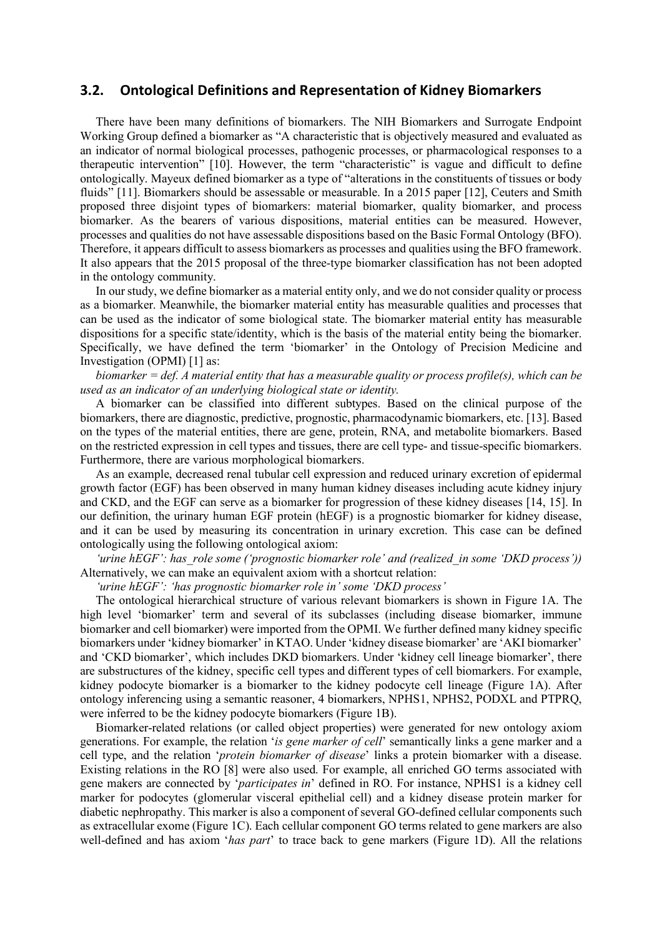#### **3.2. Ontological Definitions and Representation of Kidney Biomarkers**

There have been many definitions of biomarkers. The NIH Biomarkers and Surrogate Endpoint Working Group defined a biomarker as "A characteristic that is objectively measured and evaluated as an indicator of normal biological processes, pathogenic processes, or pharmacological responses to a therapeutic intervention" [10]. However, the term "characteristic" is vague and difficult to define ontologically. Mayeux defined biomarker as a type of "alterations in the constituents of tissues or body fluids" [11]. Biomarkers should be assessable or measurable. In a 2015 paper [12], Ceuters and Smith proposed three disjoint types of biomarkers: material biomarker, quality biomarker, and process biomarker. As the bearers of various dispositions, material entities can be measured. However, processes and qualities do not have assessable dispositions based on the Basic Formal Ontology (BFO). Therefore, it appears difficult to assess biomarkers as processes and qualities using the BFO framework. It also appears that the 2015 proposal of the three-type biomarker classification has not been adopted in the ontology community.

In our study, we define biomarker as a material entity only, and we do not consider quality or process as a biomarker. Meanwhile, the biomarker material entity has measurable qualities and processes that can be used as the indicator of some biological state. The biomarker material entity has measurable dispositions for a specific state/identity, which is the basis of the material entity being the biomarker. Specifically, we have defined the term 'biomarker' in the Ontology of Precision Medicine and Investigation (OPMI) [1] as:

*biomarker = def. A material entity that has a measurable quality or process profile(s), which can be used as an indicator of an underlying biological state or identity.* 

A biomarker can be classified into different subtypes. Based on the clinical purpose of the biomarkers, there are diagnostic, predictive, prognostic, pharmacodynamic biomarkers, etc. [13]. Based on the types of the material entities, there are gene, protein, RNA, and metabolite biomarkers. Based on the restricted expression in cell types and tissues, there are cell type- and tissue-specific biomarkers. Furthermore, there are various morphological biomarkers.

As an example, decreased renal tubular cell expression and reduced urinary excretion of epidermal growth factor (EGF) has been observed in many human kidney diseases including acute kidney injury and CKD, and the EGF can serve as a biomarker for progression of these kidney diseases [14, 15]. In our definition, the urinary human EGF protein (hEGF) is a prognostic biomarker for kidney disease, and it can be used by measuring its concentration in urinary excretion. This case can be defined ontologically using the following ontological axiom:

*'urine hEGF': has\_role some ('prognostic biomarker role' and (realized\_in some 'DKD process'))*  Alternatively, we can make an equivalent axiom with a shortcut relation:

*'urine hEGF': 'has prognostic biomarker role in' some 'DKD process'*

The ontological hierarchical structure of various relevant biomarkers is shown in Figure 1A. The high level 'biomarker' term and several of its subclasses (including disease biomarker, immune biomarker and cell biomarker) were imported from the OPMI. We further defined many kidney specific biomarkers under 'kidney biomarker' in KTAO. Under 'kidney disease biomarker' are 'AKI biomarker' and 'CKD biomarker', which includes DKD biomarkers. Under 'kidney cell lineage biomarker', there are substructures of the kidney, specific cell types and different types of cell biomarkers. For example, kidney podocyte biomarker is a biomarker to the kidney podocyte cell lineage (Figure 1A). After ontology inferencing using a semantic reasoner, 4 biomarkers, NPHS1, NPHS2, PODXL and PTPRQ, were inferred to be the kidney podocyte biomarkers (Figure 1B).

Biomarker-related relations (or called object properties) were generated for new ontology axiom generations. For example, the relation '*is gene marker of cell*' semantically links a gene marker and a cell type, and the relation '*protein biomarker of disease*' links a protein biomarker with a disease. Existing relations in the RO [8] were also used. For example, all enriched GO terms associated with gene makers are connected by '*participates in*' defined in RO. For instance, NPHS1 is a kidney cell marker for podocytes (glomerular visceral epithelial cell) and a kidney disease protein marker for diabetic nephropathy. This marker is also a component of several GO-defined cellular components such as extracellular exome (Figure 1C). Each cellular component GO terms related to gene markers are also well-defined and has axiom '*has part*' to trace back to gene markers (Figure 1D). All the relations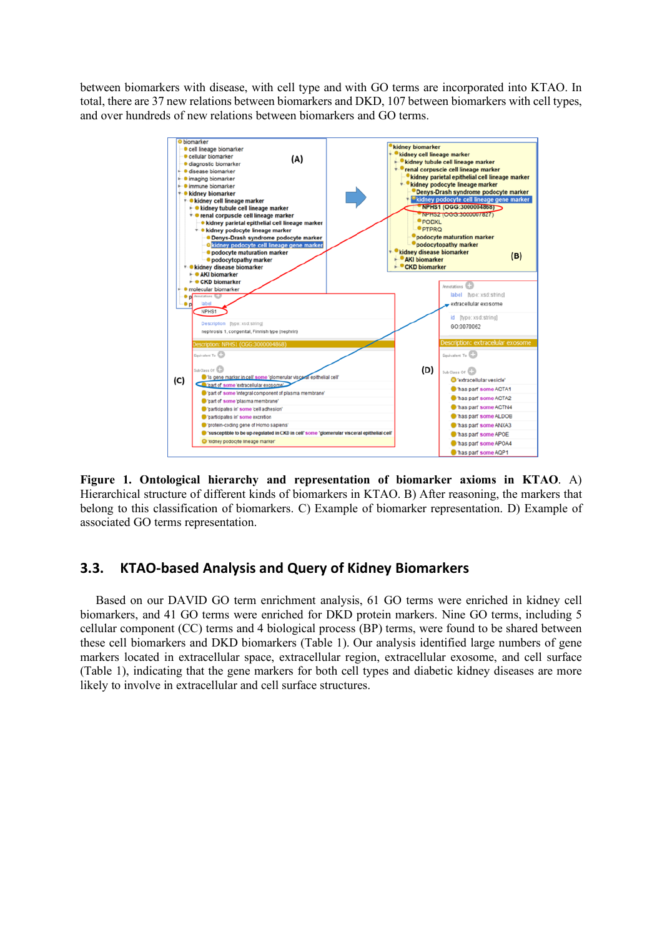between biomarkers with disease, with cell type and with GO terms are incorporated into KTAO. In total, there are 37 new relations between biomarkers and DKD, 107 between biomarkers with cell types, and over hundreds of new relations between biomarkers and GO terms.



**Figure 1. Ontological hierarchy and representation of biomarker axioms in KTAO**. A) Hierarchical structure of different kinds of biomarkers in KTAO. B) After reasoning, the markers that belong to this classification of biomarkers. C) Example of biomarker representation. D) Example of associated GO terms representation.

# **3.3. KTAO-based Analysis and Query of Kidney Biomarkers**

Based on our DAVID GO term enrichment analysis, 61 GO terms were enriched in kidney cell biomarkers, and 41 GO terms were enriched for DKD protein markers. Nine GO terms, including 5 cellular component (CC) terms and 4 biological process (BP) terms, were found to be shared between these cell biomarkers and DKD biomarkers (Table 1). Our analysis identified large numbers of gene markers located in extracellular space, extracellular region, extracellular exosome, and cell surface (Table 1), indicating that the gene markers for both cell types and diabetic kidney diseases are more likely to involve in extracellular and cell surface structures.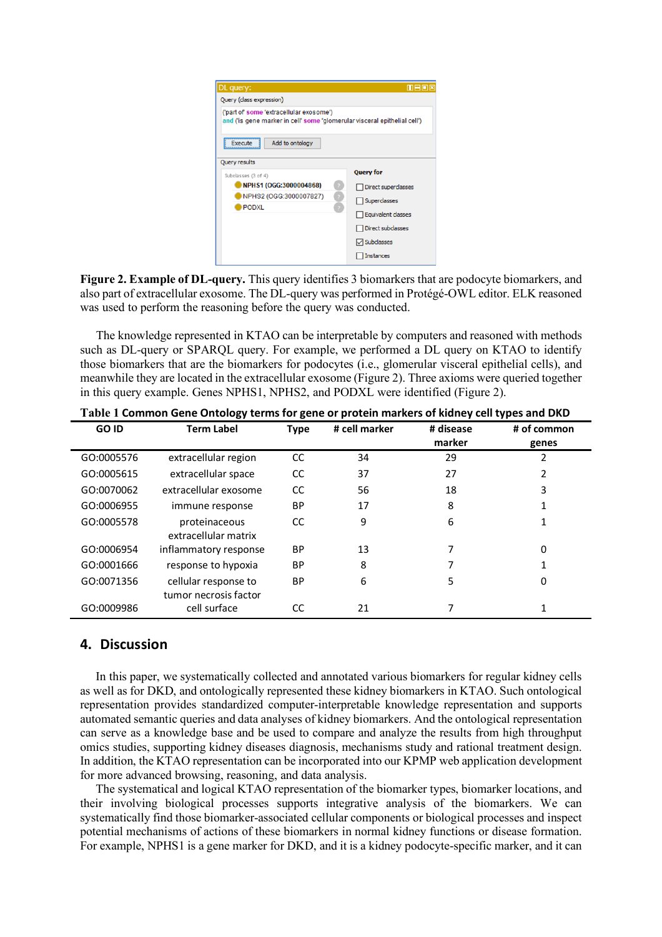| DL query:                                                                                                             | <b>MEDX</b>         |  |  |  |  |
|-----------------------------------------------------------------------------------------------------------------------|---------------------|--|--|--|--|
| Query (class expression)                                                                                              |                     |  |  |  |  |
| ('part of' some 'extracellular exosome')<br>and ('is gene marker in cell' some 'glomerular visceral epithelial cell') |                     |  |  |  |  |
| Add to ontology<br>Execute<br>-------------------------                                                               |                     |  |  |  |  |
| Query results                                                                                                         |                     |  |  |  |  |
| Subclasses (3 of 4)                                                                                                   | <b>Query for</b>    |  |  |  |  |
| NPHS1 (OGG:3000004868)                                                                                                | Direct superclasses |  |  |  |  |
| NPHS2 (OGG:3000007827)                                                                                                | □ Superclasses      |  |  |  |  |
| <b>PODXL</b>                                                                                                          | Equivalent dasses   |  |  |  |  |
|                                                                                                                       | Direct subclasses   |  |  |  |  |
|                                                                                                                       | <b>▽ Subclasses</b> |  |  |  |  |
|                                                                                                                       | <b>Instances</b>    |  |  |  |  |

**Figure 2. Example of DL-query.** This query identifies 3 biomarkers that are podocyte biomarkers, and also part of extracellular exosome. The DL-query was performed in Protégé-OWL editor. ELK reasoned was used to perform the reasoning before the query was conducted.

The knowledge represented in KTAO can be interpretable by computers and reasoned with methods such as DL-query or SPARQL query. For example, we performed a DL query on KTAO to identify those biomarkers that are the biomarkers for podocytes (i.e., glomerular visceral epithelial cells), and meanwhile they are located in the extracellular exosome (Figure 2). Three axioms were queried together in this query example. Genes NPHS1, NPHS2, and PODXL were identified (Figure 2).

|            | -                     |               |               |           | . .         |
|------------|-----------------------|---------------|---------------|-----------|-------------|
| GO ID      | <b>Term Label</b>     | <b>Type</b>   | # cell marker | # disease | # of common |
|            |                       |               |               | marker    | genes       |
| GO:0005576 | extracellular region  | <sub>CC</sub> | 34            | 29        | 2           |
| GO:0005615 | extracellular space   | <sub>CC</sub> | 37            | 27        | 2           |
| GO:0070062 | extracellular exosome | <sub>CC</sub> | 56            | 18        | 3           |
| GO:0006955 | immune response       | <b>BP</b>     | 17            | 8         |             |
| GO:0005578 | proteinaceous         | <sub>CC</sub> | 9             | 6         |             |
|            | extracellular matrix  |               |               |           |             |
| GO:0006954 | inflammatory response | <b>BP</b>     | 13            | 7         | 0           |
| GO:0001666 | response to hypoxia   | <b>BP</b>     | 8             | 7         | 1           |
| GO:0071356 | cellular response to  | <b>BP</b>     | 6             | 5         | 0           |
|            | tumor necrosis factor |               |               |           |             |
| GO:0009986 | cell surface          | <sub>CC</sub> | 21            |           | 1           |

**Table 1 Common Gene Ontology terms for gene or protein markers of kidney cell types and DKD**

# **4. Discussion**

In this paper, we systematically collected and annotated various biomarkers for regular kidney cells as well as for DKD, and ontologically represented these kidney biomarkers in KTAO. Such ontological representation provides standardized computer-interpretable knowledge representation and supports automated semantic queries and data analyses of kidney biomarkers. And the ontological representation can serve as a knowledge base and be used to compare and analyze the results from high throughput omics studies, supporting kidney diseases diagnosis, mechanisms study and rational treatment design. In addition, the KTAO representation can be incorporated into our KPMP web application development for more advanced browsing, reasoning, and data analysis.

The systematical and logical KTAO representation of the biomarker types, biomarker locations, and their involving biological processes supports integrative analysis of the biomarkers. We can systematically find those biomarker-associated cellular components or biological processes and inspect potential mechanisms of actions of these biomarkers in normal kidney functions or disease formation. For example, NPHS1 is a gene marker for DKD, and it is a kidney podocyte-specific marker, and it can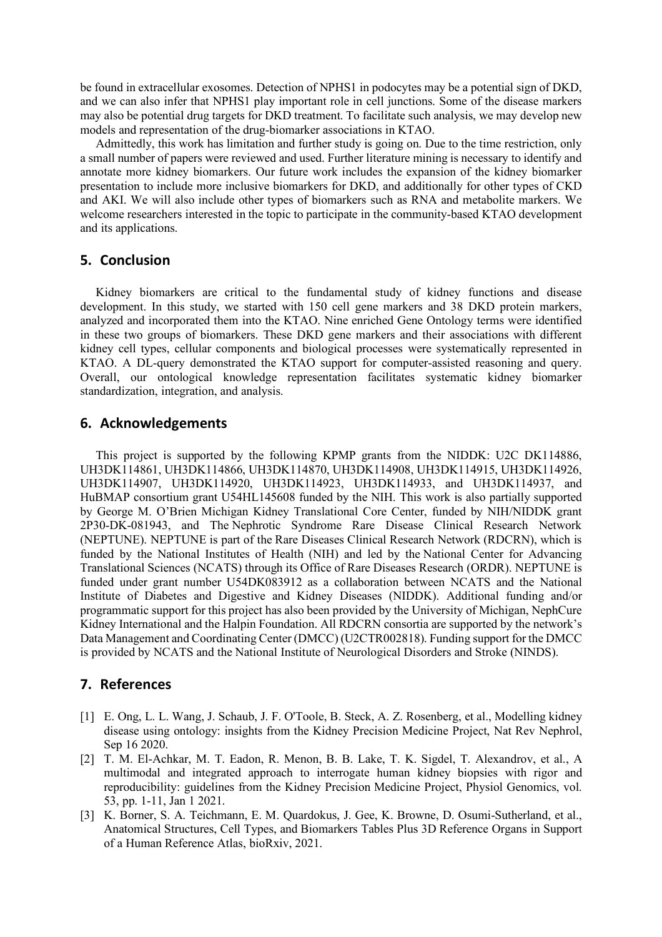be found in extracellular exosomes. Detection of NPHS1 in podocytes may be a potential sign of DKD, and we can also infer that NPHS1 play important role in cell junctions. Some of the disease markers may also be potential drug targets for DKD treatment. To facilitate such analysis, we may develop new models and representation of the drug-biomarker associations in KTAO.

Admittedly, this work has limitation and further study is going on. Due to the time restriction, only a small number of papers were reviewed and used. Further literature mining is necessary to identify and annotate more kidney biomarkers. Our future work includes the expansion of the kidney biomarker presentation to include more inclusive biomarkers for DKD, and additionally for other types of CKD and AKI. We will also include other types of biomarkers such as RNA and metabolite markers. We welcome researchers interested in the topic to participate in the community-based KTAO development and its applications.

#### **5. Conclusion**

Kidney biomarkers are critical to the fundamental study of kidney functions and disease development. In this study, we started with 150 cell gene markers and 38 DKD protein markers, analyzed and incorporated them into the KTAO. Nine enriched Gene Ontology terms were identified in these two groups of biomarkers. These DKD gene markers and their associations with different kidney cell types, cellular components and biological processes were systematically represented in KTAO. A DL-query demonstrated the KTAO support for computer-assisted reasoning and query. Overall, our ontological knowledge representation facilitates systematic kidney biomarker standardization, integration, and analysis.

### **6. Acknowledgements**

This project is supported by the following KPMP grants from the NIDDK: U2C DK114886, UH3DK114861, UH3DK114866, UH3DK114870, UH3DK114908, UH3DK114915, UH3DK114926, UH3DK114907, UH3DK114920, UH3DK114923, UH3DK114933, and UH3DK114937, and HuBMAP consortium grant U54HL145608 funded by the NIH. This work is also partially supported by George M. O'Brien Michigan Kidney Translational Core Center, funded by NIH/NIDDK grant 2P30-DK-081943, and The Nephrotic Syndrome Rare Disease Clinical Research Network (NEPTUNE). NEPTUNE is part of the Rare Diseases Clinical Research Network (RDCRN), which is funded by the National Institutes of Health (NIH) and led by the National Center for Advancing Translational Sciences (NCATS) through its Office of Rare Diseases Research (ORDR). NEPTUNE is funded under grant number U54DK083912 as a collaboration between NCATS and the National Institute of Diabetes and Digestive and Kidney Diseases (NIDDK). Additional funding and/or programmatic support for this project has also been provided by the University of Michigan, NephCure Kidney International and the Halpin Foundation. All RDCRN consortia are supported by the network's Data Management and Coordinating Center (DMCC) (U2CTR002818). Funding support for the DMCC is provided by NCATS and the National Institute of Neurological Disorders and Stroke (NINDS).

### **7. References**

- [1] E. Ong, L. L. Wang, J. Schaub, J. F. O'Toole, B. Steck, A. Z. Rosenberg, et al., Modelling kidney disease using ontology: insights from the Kidney Precision Medicine Project, Nat Rev Nephrol, Sep 16 2020.
- [2] T. M. El-Achkar, M. T. Eadon, R. Menon, B. B. Lake, T. K. Sigdel, T. Alexandrov, et al., A multimodal and integrated approach to interrogate human kidney biopsies with rigor and reproducibility: guidelines from the Kidney Precision Medicine Project, Physiol Genomics, vol. 53, pp. 1-11, Jan 1 2021.
- [3] K. Borner, S. A. Teichmann, E. M. Quardokus, J. Gee, K. Browne, D. Osumi-Sutherland, et al., Anatomical Structures, Cell Types, and Biomarkers Tables Plus 3D Reference Organs in Support of a Human Reference Atlas, bioRxiv, 2021.